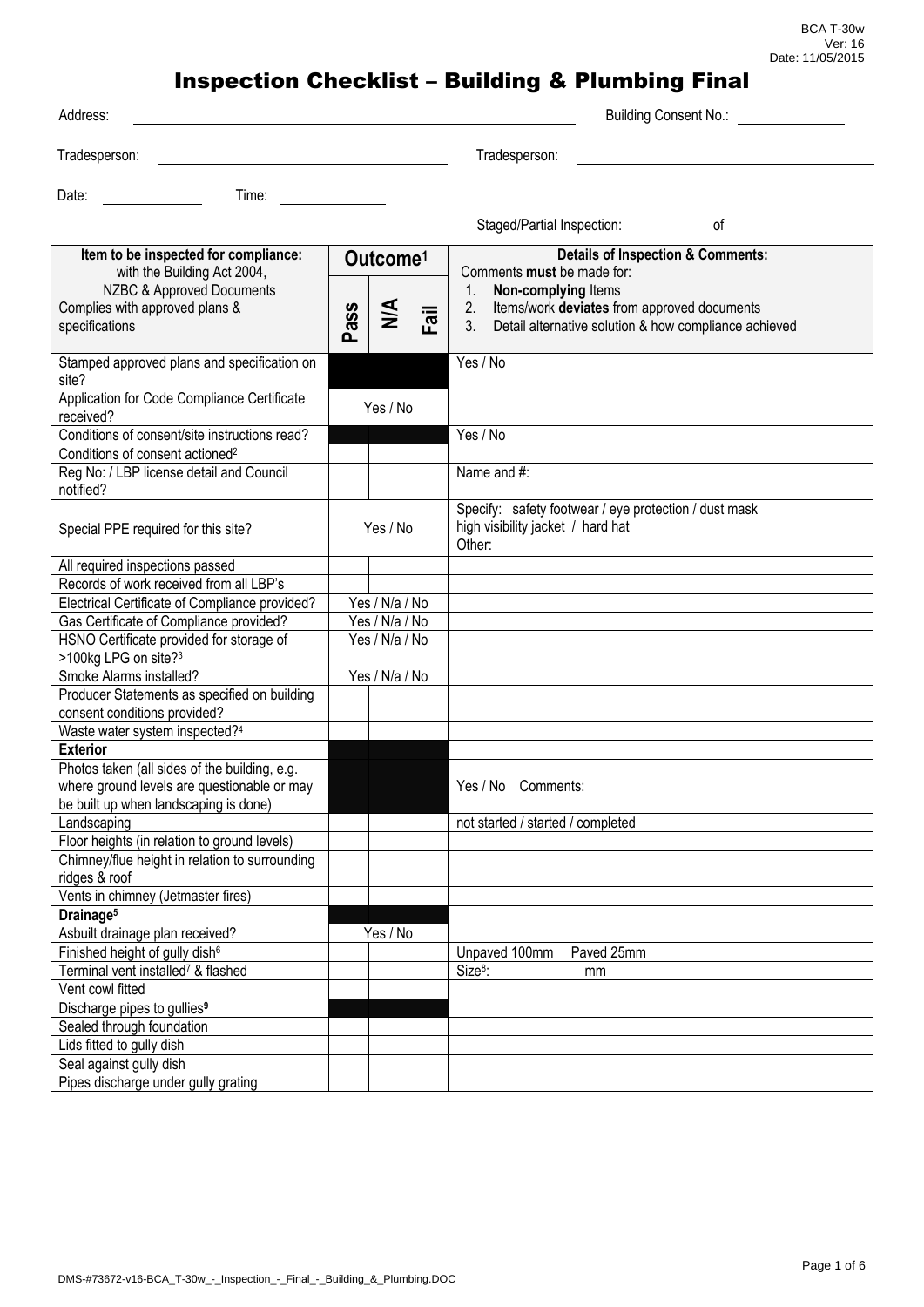BCA T-30w Ver: 16 Date: 11/05/2015

| Address:                                                                                                                                             |                |                                       |      | <b>Building Consent No.:</b>                                                                                                                                                                                                |
|------------------------------------------------------------------------------------------------------------------------------------------------------|----------------|---------------------------------------|------|-----------------------------------------------------------------------------------------------------------------------------------------------------------------------------------------------------------------------------|
| Tradesperson:                                                                                                                                        |                |                                       |      | Tradesperson:                                                                                                                                                                                                               |
| Date:<br>Time:                                                                                                                                       |                |                                       |      |                                                                                                                                                                                                                             |
|                                                                                                                                                      |                |                                       |      | Staged/Partial Inspection:<br>οf                                                                                                                                                                                            |
| Item to be inspected for compliance:<br>with the Building Act 2004,<br>NZBC & Approved Documents<br>Complies with approved plans &<br>specifications | Pass           | Outcome <sup>1</sup><br>$\frac{4}{5}$ | Fail | <b>Details of Inspection &amp; Comments:</b><br>Comments must be made for:<br>Non-complying Items<br>1.<br>Items/work deviates from approved documents<br>2.<br>Detail alternative solution & how compliance achieved<br>3. |
| Stamped approved plans and specification on<br>site?                                                                                                 |                |                                       |      | Yes / No                                                                                                                                                                                                                    |
| Application for Code Compliance Certificate<br>received?                                                                                             | Yes / No       |                                       |      |                                                                                                                                                                                                                             |
| Conditions of consent/site instructions read?                                                                                                        |                |                                       |      | Yes / No                                                                                                                                                                                                                    |
| Conditions of consent actioned <sup>2</sup>                                                                                                          |                |                                       |      |                                                                                                                                                                                                                             |
| Reg No: / LBP license detail and Council<br>notified?                                                                                                |                |                                       |      | Name and #:                                                                                                                                                                                                                 |
| Special PPE required for this site?                                                                                                                  | Yes / No       |                                       |      | Specify: safety footwear / eye protection / dust mask<br>high visibility jacket / hard hat<br>Other:                                                                                                                        |
| All required inspections passed                                                                                                                      |                |                                       |      |                                                                                                                                                                                                                             |
| Records of work received from all LBP's                                                                                                              |                |                                       |      |                                                                                                                                                                                                                             |
| Electrical Certificate of Compliance provided?                                                                                                       |                | Yes / N/a / No                        |      |                                                                                                                                                                                                                             |
| Gas Certificate of Compliance provided?                                                                                                              | Yes / N/a / No |                                       |      |                                                                                                                                                                                                                             |
| HSNO Certificate provided for storage of                                                                                                             |                | Yes / N/a / No                        |      |                                                                                                                                                                                                                             |
| >100kg LPG on site? <sup>3</sup>                                                                                                                     |                |                                       |      |                                                                                                                                                                                                                             |
| Smoke Alarms installed?                                                                                                                              |                | Yes / N/a / No                        |      |                                                                                                                                                                                                                             |
| Producer Statements as specified on building<br>consent conditions provided?                                                                         |                |                                       |      |                                                                                                                                                                                                                             |
| Waste water system inspected?4                                                                                                                       |                |                                       |      |                                                                                                                                                                                                                             |
| <b>Exterior</b>                                                                                                                                      |                |                                       |      |                                                                                                                                                                                                                             |
| Photos taken (all sides of the building, e.g.<br>where ground levels are questionable or may<br>be built up when landscaping is done)                |                |                                       |      | Yes / No Comments:                                                                                                                                                                                                          |
| Landscaping                                                                                                                                          |                |                                       |      | not started / started / completed                                                                                                                                                                                           |
| Floor heights (in relation to ground levels)                                                                                                         |                |                                       |      |                                                                                                                                                                                                                             |
| Chimney/flue height in relation to surrounding<br>ridges & roof                                                                                      |                |                                       |      |                                                                                                                                                                                                                             |
| Vents in chimney (Jetmaster fires)                                                                                                                   |                |                                       |      |                                                                                                                                                                                                                             |
| Drainage <sup>5</sup>                                                                                                                                |                |                                       |      |                                                                                                                                                                                                                             |
| Asbuilt drainage plan received?                                                                                                                      |                | Yes / No                              |      |                                                                                                                                                                                                                             |
| Finished height of gully dish <sup>6</sup>                                                                                                           |                |                                       |      | Paved 25mm<br>Unpaved 100mm                                                                                                                                                                                                 |
| Terminal vent installed <sup>7</sup> & flashed                                                                                                       |                |                                       |      | Size <sup>8</sup> :<br>mm                                                                                                                                                                                                   |
| Vent cowl fitted                                                                                                                                     |                |                                       |      |                                                                                                                                                                                                                             |
| Discharge pipes to gullies <sup>9</sup>                                                                                                              |                |                                       |      |                                                                                                                                                                                                                             |
| Sealed through foundation                                                                                                                            |                |                                       |      |                                                                                                                                                                                                                             |
| Lids fitted to gully dish                                                                                                                            |                |                                       |      |                                                                                                                                                                                                                             |
| Seal against gully dish                                                                                                                              |                |                                       |      |                                                                                                                                                                                                                             |
| Pipes discharge under gully grating                                                                                                                  |                |                                       |      |                                                                                                                                                                                                                             |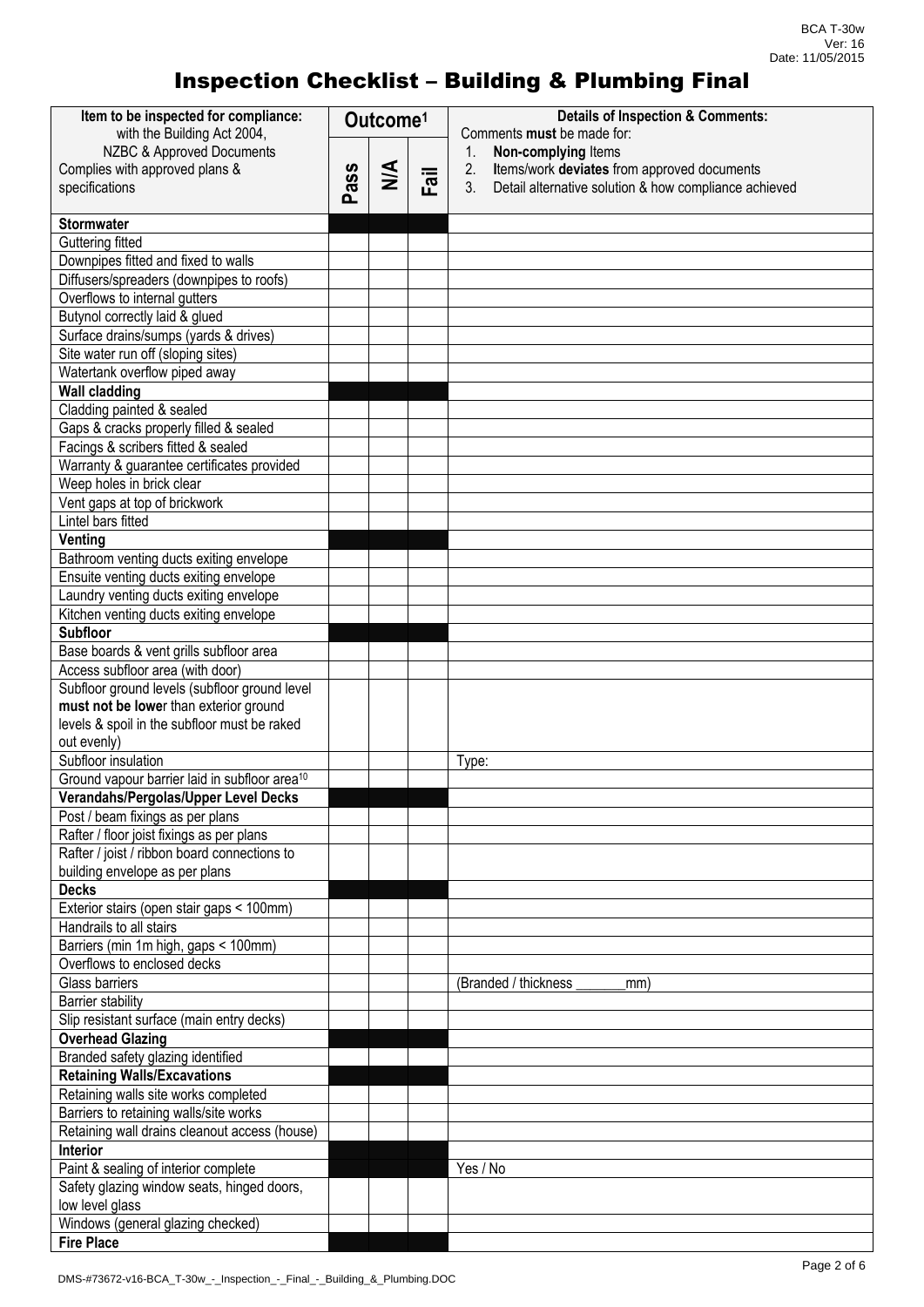| Item to be inspected for compliance:<br>with the Building Act 2004, | Outcome <sup>1</sup> |        |      | <b>Details of Inspection &amp; Comments:</b><br>Comments must be made for: |  |
|---------------------------------------------------------------------|----------------------|--------|------|----------------------------------------------------------------------------|--|
| NZBC & Approved Documents                                           |                      |        |      | Non-complying Items<br>1.                                                  |  |
| Complies with approved plans &                                      |                      |        |      | Items/work deviates from approved documents<br>2.                          |  |
| specifications                                                      | ass                  | $\leq$ | Fail | 3 <sub>1</sub><br>Detail alternative solution & how compliance achieved    |  |
|                                                                     | ൨                    |        |      |                                                                            |  |
| <b>Stormwater</b>                                                   |                      |        |      |                                                                            |  |
| Guttering fitted                                                    |                      |        |      |                                                                            |  |
| Downpipes fitted and fixed to walls                                 |                      |        |      |                                                                            |  |
| Diffusers/spreaders (downpipes to roofs)                            |                      |        |      |                                                                            |  |
| Overflows to internal gutters                                       |                      |        |      |                                                                            |  |
| Butynol correctly laid & glued                                      |                      |        |      |                                                                            |  |
| Surface drains/sumps (yards & drives)                               |                      |        |      |                                                                            |  |
| Site water run off (sloping sites)                                  |                      |        |      |                                                                            |  |
| Watertank overflow piped away                                       |                      |        |      |                                                                            |  |
| <b>Wall cladding</b>                                                |                      |        |      |                                                                            |  |
| Cladding painted & sealed                                           |                      |        |      |                                                                            |  |
| Gaps & cracks properly filled & sealed                              |                      |        |      |                                                                            |  |
| Facings & scribers fitted & sealed                                  |                      |        |      |                                                                            |  |
| Warranty & guarantee certificates provided                          |                      |        |      |                                                                            |  |
| Weep holes in brick clear                                           |                      |        |      |                                                                            |  |
| Vent gaps at top of brickwork                                       |                      |        |      |                                                                            |  |
| Lintel bars fitted                                                  |                      |        |      |                                                                            |  |
| Venting                                                             |                      |        |      |                                                                            |  |
| Bathroom venting ducts exiting envelope                             |                      |        |      |                                                                            |  |
| Ensuite venting ducts exiting envelope                              |                      |        |      |                                                                            |  |
| Laundry venting ducts exiting envelope                              |                      |        |      |                                                                            |  |
| Kitchen venting ducts exiting envelope                              |                      |        |      |                                                                            |  |
| <b>Subfloor</b>                                                     |                      |        |      |                                                                            |  |
| Base boards & vent grills subfloor area                             |                      |        |      |                                                                            |  |
| Access subfloor area (with door)                                    |                      |        |      |                                                                            |  |
| Subfloor ground levels (subfloor ground level                       |                      |        |      |                                                                            |  |
| must not be lower than exterior ground                              |                      |        |      |                                                                            |  |
| levels & spoil in the subfloor must be raked                        |                      |        |      |                                                                            |  |
| out evenly)<br>Subfloor insulation                                  |                      |        |      |                                                                            |  |
| Ground vapour barrier laid in subfloor area <sup>10</sup>           |                      |        |      | Type:                                                                      |  |
| Verandahs/Pergolas/Upper Level Decks                                |                      |        |      |                                                                            |  |
| Post / beam fixings as per plans                                    |                      |        |      |                                                                            |  |
| Rafter / floor joist fixings as per plans                           |                      |        |      |                                                                            |  |
| Rafter / joist / ribbon board connections to                        |                      |        |      |                                                                            |  |
| building envelope as per plans                                      |                      |        |      |                                                                            |  |
| <b>Decks</b>                                                        |                      |        |      |                                                                            |  |
| Exterior stairs (open stair gaps < 100mm)                           |                      |        |      |                                                                            |  |
| Handrails to all stairs                                             |                      |        |      |                                                                            |  |
| Barriers (min 1m high, gaps < 100mm)                                |                      |        |      |                                                                            |  |
| Overflows to enclosed decks                                         |                      |        |      |                                                                            |  |
| <b>Glass barriers</b>                                               |                      |        |      | (Branded / thickness<br>mm)                                                |  |
| <b>Barrier stability</b>                                            |                      |        |      |                                                                            |  |
| Slip resistant surface (main entry decks)                           |                      |        |      |                                                                            |  |
| <b>Overhead Glazing</b>                                             |                      |        |      |                                                                            |  |
| Branded safety glazing identified                                   |                      |        |      |                                                                            |  |
| <b>Retaining Walls/Excavations</b>                                  |                      |        |      |                                                                            |  |
| Retaining walls site works completed                                |                      |        |      |                                                                            |  |
| Barriers to retaining walls/site works                              |                      |        |      |                                                                            |  |
| Retaining wall drains cleanout access (house)                       |                      |        |      |                                                                            |  |
| Interior                                                            |                      |        |      |                                                                            |  |
| Paint & sealing of interior complete                                |                      |        |      | Yes / No                                                                   |  |
| Safety glazing window seats, hinged doors,                          |                      |        |      |                                                                            |  |
| low level glass<br>Windows (general glazing checked)                |                      |        |      |                                                                            |  |
| <b>Fire Place</b>                                                   |                      |        |      |                                                                            |  |
|                                                                     |                      |        |      |                                                                            |  |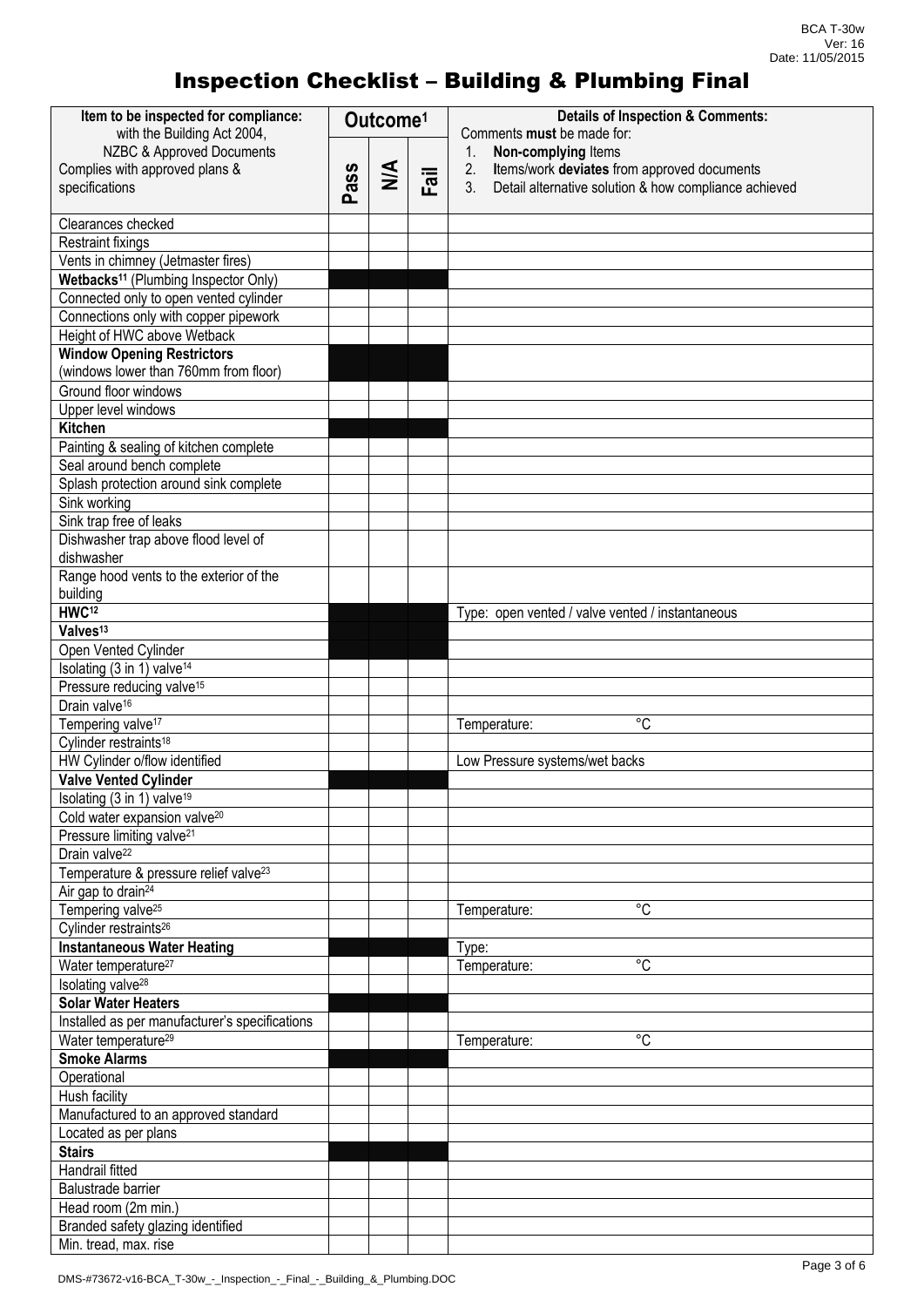| Item to be inspected for compliance:<br>with the Building Act 2004, | Outcome <sup>1</sup> |        |      | <b>Details of Inspection &amp; Comments:</b><br>Comments must be made for: |  |
|---------------------------------------------------------------------|----------------------|--------|------|----------------------------------------------------------------------------|--|
| NZBC & Approved Documents                                           |                      |        |      | Non-complying Items<br>1.                                                  |  |
| Complies with approved plans &                                      |                      |        |      | Items/work deviates from approved documents<br>2.                          |  |
| specifications                                                      | ass                  | $\leq$ | Fail | 3.<br>Detail alternative solution & how compliance achieved                |  |
|                                                                     | ൎ                    |        |      |                                                                            |  |
| Clearances checked                                                  |                      |        |      |                                                                            |  |
| <b>Restraint fixings</b>                                            |                      |        |      |                                                                            |  |
| Vents in chimney (Jetmaster fires)                                  |                      |        |      |                                                                            |  |
| Wetbacks <sup>11</sup> (Plumbing Inspector Only)                    |                      |        |      |                                                                            |  |
| Connected only to open vented cylinder                              |                      |        |      |                                                                            |  |
| Connections only with copper pipework                               |                      |        |      |                                                                            |  |
| Height of HWC above Wetback                                         |                      |        |      |                                                                            |  |
| <b>Window Opening Restrictors</b>                                   |                      |        |      |                                                                            |  |
| (windows lower than 760mm from floor)                               |                      |        |      |                                                                            |  |
| Ground floor windows                                                |                      |        |      |                                                                            |  |
| Upper level windows                                                 |                      |        |      |                                                                            |  |
| <b>Kitchen</b>                                                      |                      |        |      |                                                                            |  |
| Painting & sealing of kitchen complete                              |                      |        |      |                                                                            |  |
| Seal around bench complete                                          |                      |        |      |                                                                            |  |
| Splash protection around sink complete                              |                      |        |      |                                                                            |  |
| Sink working                                                        |                      |        |      |                                                                            |  |
| Sink trap free of leaks                                             |                      |        |      |                                                                            |  |
| Dishwasher trap above flood level of                                |                      |        |      |                                                                            |  |
| dishwasher                                                          |                      |        |      |                                                                            |  |
| Range hood vents to the exterior of the                             |                      |        |      |                                                                            |  |
| building                                                            |                      |        |      |                                                                            |  |
| HWC <sup>12</sup>                                                   |                      |        |      | Type: open vented / valve vented / instantaneous                           |  |
| Valves <sup>13</sup>                                                |                      |        |      |                                                                            |  |
| Open Vented Cylinder                                                |                      |        |      |                                                                            |  |
| Isolating (3 in 1) valve <sup>14</sup>                              |                      |        |      |                                                                            |  |
| Pressure reducing valve <sup>15</sup>                               |                      |        |      |                                                                            |  |
| Drain valve <sup>16</sup>                                           |                      |        |      |                                                                            |  |
| Tempering valve <sup>17</sup>                                       |                      |        |      | $^{\circ}C$<br>Temperature:                                                |  |
| Cylinder restraints <sup>18</sup>                                   |                      |        |      |                                                                            |  |
| HW Cylinder o/flow identified                                       |                      |        |      | Low Pressure systems/wet backs                                             |  |
| <b>Valve Vented Cylinder</b>                                        |                      |        |      |                                                                            |  |
| Isolating (3 in 1) valve <sup>19</sup>                              |                      |        |      |                                                                            |  |
| Cold water expansion valve <sup>20</sup>                            |                      |        |      |                                                                            |  |
| Pressure limiting valve <sup>21</sup>                               |                      |        |      |                                                                            |  |
| Drain valve <sup>22</sup>                                           |                      |        |      |                                                                            |  |
| Temperature & pressure relief valve <sup>23</sup>                   |                      |        |      |                                                                            |  |
| Air gap to drain <sup>24</sup>                                      |                      |        |      |                                                                            |  |
| Tempering valve <sup>25</sup>                                       |                      |        |      | $\overline{C}$                                                             |  |
| Cylinder restraints <sup>26</sup>                                   |                      |        |      | Temperature:                                                               |  |
| <b>Instantaneous Water Heating</b>                                  |                      |        |      | Type:                                                                      |  |
| Water temperature <sup>27</sup>                                     |                      |        |      | °C                                                                         |  |
|                                                                     |                      |        |      | Temperature:                                                               |  |
| Isolating valve <sup>28</sup>                                       |                      |        |      |                                                                            |  |
| Solar Water Heaters                                                 |                      |        |      |                                                                            |  |
| Installed as per manufacturer's specifications                      |                      |        |      |                                                                            |  |
| Water temperature <sup>29</sup>                                     |                      |        |      | $^{\circ}C$<br>Temperature:                                                |  |
| <b>Smoke Alarms</b>                                                 |                      |        |      |                                                                            |  |
| Operational                                                         |                      |        |      |                                                                            |  |
| Hush facility                                                       |                      |        |      |                                                                            |  |
| Manufactured to an approved standard                                |                      |        |      |                                                                            |  |
| Located as per plans                                                |                      |        |      |                                                                            |  |
| <b>Stairs</b>                                                       |                      |        |      |                                                                            |  |
| Handrail fitted                                                     |                      |        |      |                                                                            |  |
| Balustrade barrier                                                  |                      |        |      |                                                                            |  |
| Head room (2m min.)                                                 |                      |        |      |                                                                            |  |
| Branded safety glazing identified                                   |                      |        |      |                                                                            |  |
| Min. tread, max. rise                                               |                      |        |      |                                                                            |  |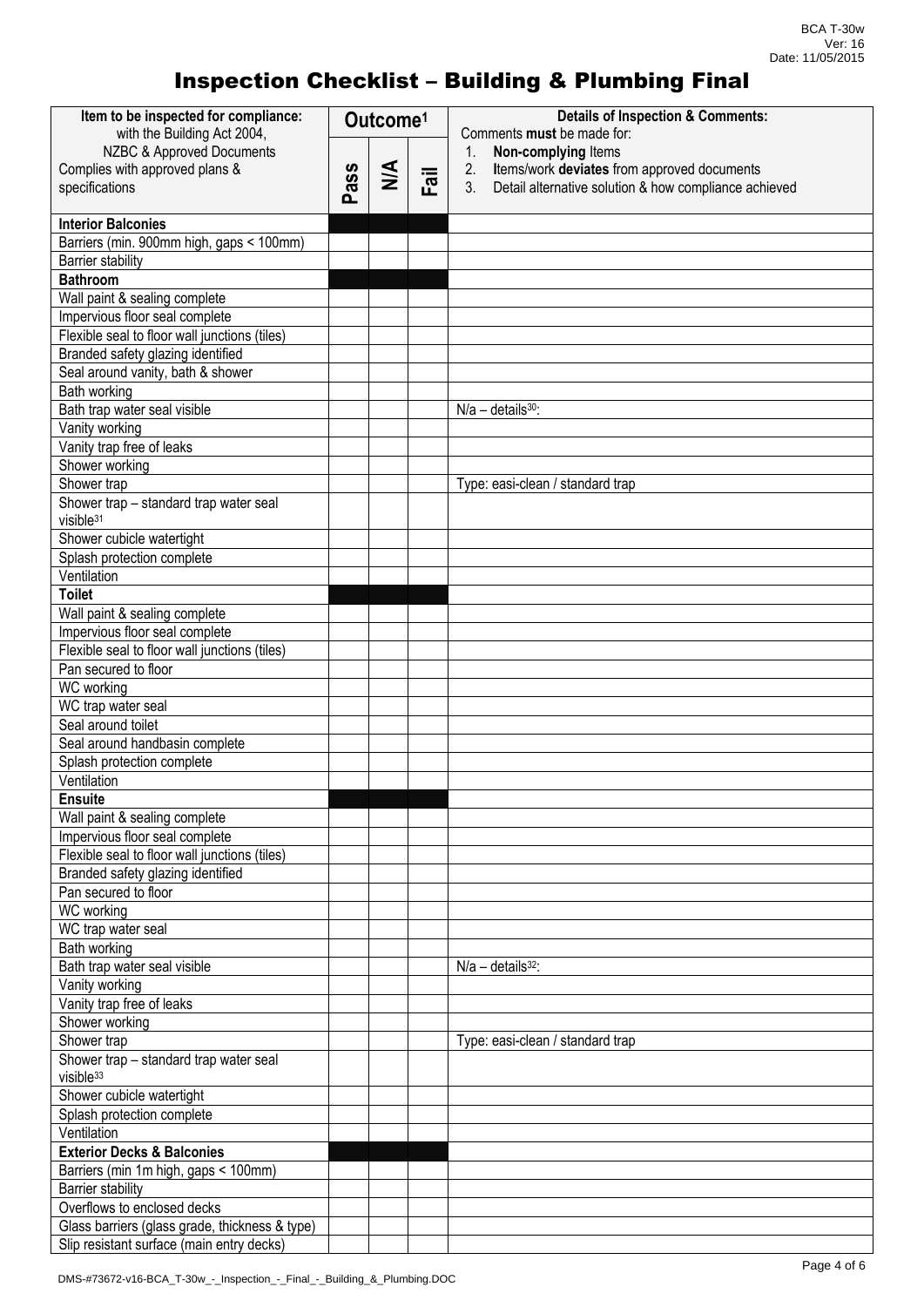| Item to be inspected for compliance:<br>with the Building Act 2004, | Outcome <sup>1</sup> |        |      | <b>Details of Inspection &amp; Comments:</b><br>Comments must be made for: |  |
|---------------------------------------------------------------------|----------------------|--------|------|----------------------------------------------------------------------------|--|
| NZBC & Approved Documents                                           |                      |        |      | $\mathbf{1}$ .<br>Non-complying Items                                      |  |
| Complies with approved plans &                                      |                      |        |      | 2.<br>Items/work deviates from approved documents                          |  |
| specifications                                                      | Pass                 | $\leq$ | Fail | 3.<br>Detail alternative solution & how compliance achieved                |  |
|                                                                     |                      |        |      |                                                                            |  |
| <b>Interior Balconies</b>                                           |                      |        |      |                                                                            |  |
| Barriers (min. 900mm high, gaps < 100mm)                            |                      |        |      |                                                                            |  |
| <b>Barrier stability</b>                                            |                      |        |      |                                                                            |  |
| <b>Bathroom</b>                                                     |                      |        |      |                                                                            |  |
| Wall paint & sealing complete                                       |                      |        |      |                                                                            |  |
| Impervious floor seal complete                                      |                      |        |      |                                                                            |  |
| Flexible seal to floor wall junctions (tiles)                       |                      |        |      |                                                                            |  |
| Branded safety glazing identified                                   |                      |        |      |                                                                            |  |
| Seal around vanity, bath & shower                                   |                      |        |      |                                                                            |  |
| Bath working                                                        |                      |        |      |                                                                            |  |
| Bath trap water seal visible                                        |                      |        |      | $N/a$ - details $30$ :                                                     |  |
| Vanity working                                                      |                      |        |      |                                                                            |  |
| Vanity trap free of leaks                                           |                      |        |      |                                                                            |  |
| Shower working                                                      |                      |        |      |                                                                            |  |
| Shower trap                                                         |                      |        |      | Type: easi-clean / standard trap                                           |  |
| Shower trap - standard trap water seal                              |                      |        |      |                                                                            |  |
| visible <sup>31</sup>                                               |                      |        |      |                                                                            |  |
| Shower cubicle watertight                                           |                      |        |      |                                                                            |  |
| Splash protection complete                                          |                      |        |      |                                                                            |  |
| Ventilation                                                         |                      |        |      |                                                                            |  |
| <b>Toilet</b>                                                       |                      |        |      |                                                                            |  |
| Wall paint & sealing complete                                       |                      |        |      |                                                                            |  |
| Impervious floor seal complete                                      |                      |        |      |                                                                            |  |
| Flexible seal to floor wall junctions (tiles)                       |                      |        |      |                                                                            |  |
| Pan secured to floor                                                |                      |        |      |                                                                            |  |
| WC working                                                          |                      |        |      |                                                                            |  |
| WC trap water seal                                                  |                      |        |      |                                                                            |  |
| Seal around toilet                                                  |                      |        |      |                                                                            |  |
| Seal around handbasin complete                                      |                      |        |      |                                                                            |  |
| Splash protection complete                                          |                      |        |      |                                                                            |  |
| Ventilation                                                         |                      |        |      |                                                                            |  |
| <b>Ensuite</b>                                                      |                      |        |      |                                                                            |  |
| Wall paint & sealing complete                                       |                      |        |      |                                                                            |  |
| Impervious floor seal complete                                      |                      |        |      |                                                                            |  |
| Flexible seal to floor wall junctions (tiles)                       |                      |        |      |                                                                            |  |
| Branded safety glazing identified                                   |                      |        |      |                                                                            |  |
| Pan secured to floor                                                |                      |        |      |                                                                            |  |
| WC working                                                          |                      |        |      |                                                                            |  |
| WC trap water seal                                                  |                      |        |      |                                                                            |  |
| Bath working                                                        |                      |        |      |                                                                            |  |
| Bath trap water seal visible                                        |                      |        |      | $N/a - details32$ :                                                        |  |
| Vanity working                                                      |                      |        |      |                                                                            |  |
| Vanity trap free of leaks                                           |                      |        |      |                                                                            |  |
| Shower working                                                      |                      |        |      |                                                                            |  |
| Shower trap                                                         |                      |        |      | Type: easi-clean / standard trap                                           |  |
| Shower trap - standard trap water seal                              |                      |        |      |                                                                            |  |
| visible <sup>33</sup>                                               |                      |        |      |                                                                            |  |
| Shower cubicle watertight                                           |                      |        |      |                                                                            |  |
| Splash protection complete                                          |                      |        |      |                                                                            |  |
| Ventilation                                                         |                      |        |      |                                                                            |  |
| <b>Exterior Decks &amp; Balconies</b>                               |                      |        |      |                                                                            |  |
| Barriers (min 1m high, gaps < 100mm)                                |                      |        |      |                                                                            |  |
| <b>Barrier stability</b>                                            |                      |        |      |                                                                            |  |
| Overflows to enclosed decks                                         |                      |        |      |                                                                            |  |
| Glass barriers (glass grade, thickness & type)                      |                      |        |      |                                                                            |  |
| Slip resistant surface (main entry decks)                           |                      |        |      |                                                                            |  |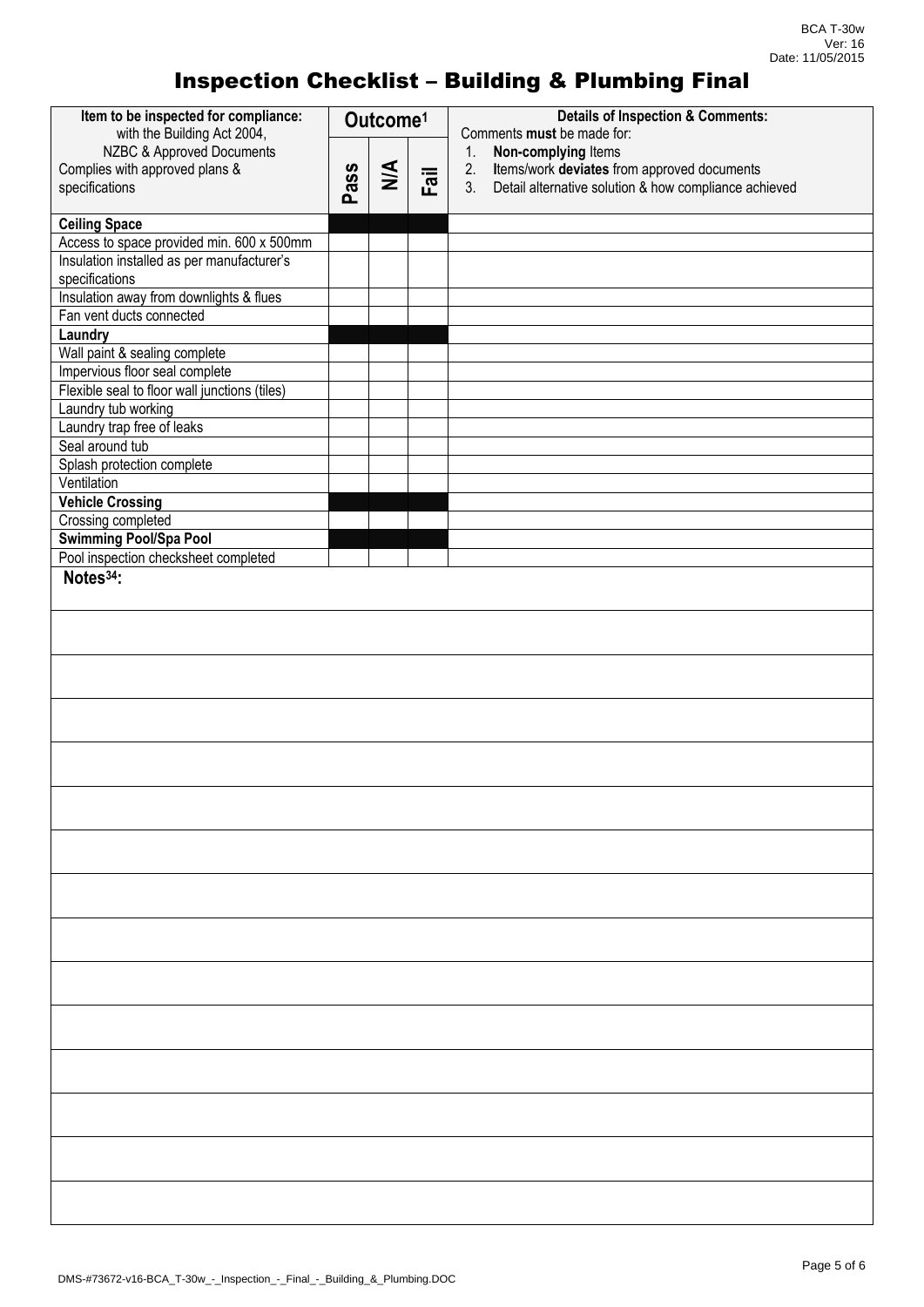| Item to be inspected for compliance:                                 | Outcome <sup>1</sup> |                  |      | <b>Details of Inspection &amp; Comments:</b><br>Comments must be made for: |
|----------------------------------------------------------------------|----------------------|------------------|------|----------------------------------------------------------------------------|
| with the Building Act 2004,<br>NZBC & Approved Documents             |                      |                  |      | Non-complying Items<br>1.                                                  |
| Complies with approved plans &                                       |                      | $\sum_{i=1}^{n}$ |      | Items/work deviates from approved documents<br>2.                          |
| specifications                                                       | Pass                 |                  | Fail | 3.<br>Detail alternative solution & how compliance achieved                |
|                                                                      |                      |                  |      |                                                                            |
| <b>Ceiling Space</b>                                                 |                      |                  |      |                                                                            |
| Access to space provided min. 600 x 500mm                            |                      |                  |      |                                                                            |
| Insulation installed as per manufacturer's<br>specifications         |                      |                  |      |                                                                            |
| Insulation away from downlights & flues                              |                      |                  |      |                                                                            |
| Fan vent ducts connected                                             |                      |                  |      |                                                                            |
| Laundry                                                              |                      |                  |      |                                                                            |
| Wall paint & sealing complete                                        |                      |                  |      |                                                                            |
| Impervious floor seal complete                                       |                      |                  |      |                                                                            |
| Flexible seal to floor wall junctions (tiles)<br>Laundry tub working |                      |                  |      |                                                                            |
| Laundry trap free of leaks                                           |                      |                  |      |                                                                            |
| Seal around tub                                                      |                      |                  |      |                                                                            |
| Splash protection complete                                           |                      |                  |      |                                                                            |
| Ventilation                                                          |                      |                  |      |                                                                            |
| <b>Vehicle Crossing</b>                                              |                      |                  |      |                                                                            |
| Crossing completed                                                   |                      |                  |      |                                                                            |
| <b>Swimming Pool/Spa Pool</b>                                        |                      |                  |      |                                                                            |
| Pool inspection checksheet completed                                 |                      |                  |      |                                                                            |
| Notes <sup>34</sup> :                                                |                      |                  |      |                                                                            |
|                                                                      |                      |                  |      |                                                                            |
|                                                                      |                      |                  |      |                                                                            |
|                                                                      |                      |                  |      |                                                                            |
|                                                                      |                      |                  |      |                                                                            |
|                                                                      |                      |                  |      |                                                                            |
|                                                                      |                      |                  |      |                                                                            |
|                                                                      |                      |                  |      |                                                                            |
|                                                                      |                      |                  |      |                                                                            |
|                                                                      |                      |                  |      |                                                                            |
|                                                                      |                      |                  |      |                                                                            |
|                                                                      |                      |                  |      |                                                                            |
|                                                                      |                      |                  |      |                                                                            |
|                                                                      |                      |                  |      |                                                                            |
|                                                                      |                      |                  |      |                                                                            |
|                                                                      |                      |                  |      |                                                                            |
|                                                                      |                      |                  |      |                                                                            |
|                                                                      |                      |                  |      |                                                                            |
|                                                                      |                      |                  |      |                                                                            |
|                                                                      |                      |                  |      |                                                                            |
|                                                                      |                      |                  |      |                                                                            |
|                                                                      |                      |                  |      |                                                                            |
|                                                                      |                      |                  |      |                                                                            |
|                                                                      |                      |                  |      |                                                                            |
|                                                                      |                      |                  |      |                                                                            |
|                                                                      |                      |                  |      |                                                                            |
|                                                                      |                      |                  |      |                                                                            |
|                                                                      |                      |                  |      |                                                                            |
|                                                                      |                      |                  |      |                                                                            |
|                                                                      |                      |                  |      |                                                                            |
|                                                                      |                      |                  |      |                                                                            |
|                                                                      |                      |                  |      |                                                                            |
|                                                                      |                      |                  |      |                                                                            |